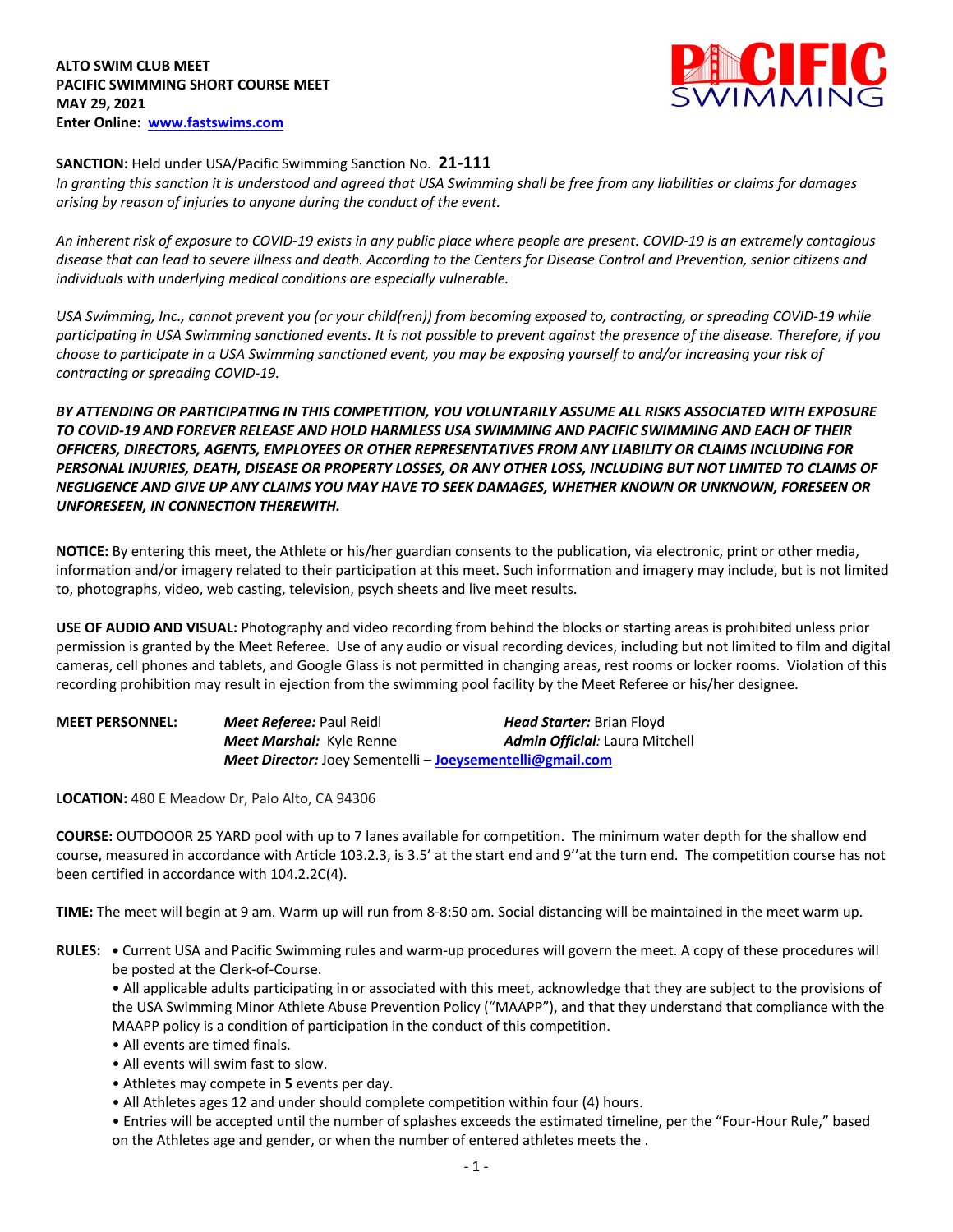

## **SANCTION:** Held under USA/Pacific Swimming Sanction No. **21-111**

*In granting this sanction it is understood and agreed that USA Swimming shall be free from any liabilities or claims for damages arising by reason of injuries to anyone during the conduct of the event.* 

*An inherent risk of exposure to COVID-19 exists in any public place where people are present. COVID-19 is an extremely contagious disease that can lead to severe illness and death. According to the Centers for Disease Control and Prevention, senior citizens and individuals with underlying medical conditions are especially vulnerable.*

*USA Swimming, Inc., cannot prevent you (or your child(ren)) from becoming exposed to, contracting, or spreading COVID-19 while participating in USA Swimming sanctioned events. It is not possible to prevent against the presence of the disease. Therefore, if you choose to participate in a USA Swimming sanctioned event, you may be exposing yourself to and/or increasing your risk of contracting or spreading COVID-19.*

*BY ATTENDING OR PARTICIPATING IN THIS COMPETITION, YOU VOLUNTARILY ASSUME ALL RISKS ASSOCIATED WITH EXPOSURE TO COVID-19 AND FOREVER RELEASE AND HOLD HARMLESS USA SWIMMING AND PACIFIC SWIMMING AND EACH OF THEIR OFFICERS, DIRECTORS, AGENTS, EMPLOYEES OR OTHER REPRESENTATIVES FROM ANY LIABILITY OR CLAIMS INCLUDING FOR PERSONAL INJURIES, DEATH, DISEASE OR PROPERTY LOSSES, OR ANY OTHER LOSS, INCLUDING BUT NOT LIMITED TO CLAIMS OF NEGLIGENCE AND GIVE UP ANY CLAIMS YOU MAY HAVE TO SEEK DAMAGES, WHETHER KNOWN OR UNKNOWN, FORESEEN OR UNFORESEEN, IN CONNECTION THEREWITH.*

**NOTICE:** By entering this meet, the Athlete or his/her guardian consents to the publication, via electronic, print or other media, information and/or imagery related to their participation at this meet. Such information and imagery may include, but is not limited to, photographs, video, web casting, television, psych sheets and live meet results.

**USE OF AUDIO AND VISUAL:** Photography and video recording from behind the blocks or starting areas is prohibited unless prior permission is granted by the Meet Referee. Use of any audio or visual recording devices, including but not limited to film and digital cameras, cell phones and tablets, and Google Glass is not permitted in changing areas, rest rooms or locker rooms. Violation of this recording prohibition may result in ejection from the swimming pool facility by the Meet Referee or his/her designee.

| <b>MEET PERSONNEL:</b> | <b>Meet Referee: Paul Reidl</b>                                  | <b>Head Starter:</b> Brian Floyd      |  |  |  |  |  |
|------------------------|------------------------------------------------------------------|---------------------------------------|--|--|--|--|--|
|                        | Meet Marshal: Kyle Renne                                         | <b>Admin Official: Laura Mitchell</b> |  |  |  |  |  |
|                        | <b>Meet Director:</b> Joey Sementelli – Joeysementelli@gmail.com |                                       |  |  |  |  |  |

**LOCATION:** 480 E Meadow Dr, Palo Alto, CA 94306

**COURSE:** OUTDOOOR 25 YARD pool with up to 7 lanes available for competition. The minimum water depth for the shallow end course, measured in accordance with Article 103.2.3, is 3.5' at the start end and 9''at the turn end. The competition course has not been certified in accordance with 104.2.2C(4).

**TIME:** The meet will begin at 9 am. Warm up will run from 8-8:50 am. Social distancing will be maintained in the meet warm up.

**RULES: •** Current USA and Pacific Swimming rules and warm-up procedures will govern the meet. A copy of these procedures will be posted at the Clerk-of-Course.

• All applicable adults participating in or associated with this meet, acknowledge that they are subject to the provisions of the USA Swimming Minor Athlete Abuse Prevention Policy ("MAAPP"), and that they understand that compliance with the MAAPP policy is a condition of participation in the conduct of this competition.

- All events are timed finals.
- All events will swim fast to slow.
- Athletes may compete in **5** events per day.
- All Athletes ages 12 and under should complete competition within four (4) hours.

• Entries will be accepted until the number of splashes exceeds the estimated timeline, per the "Four-Hour Rule," based on the Athletes age and gender, or when the number of entered athletes meets the .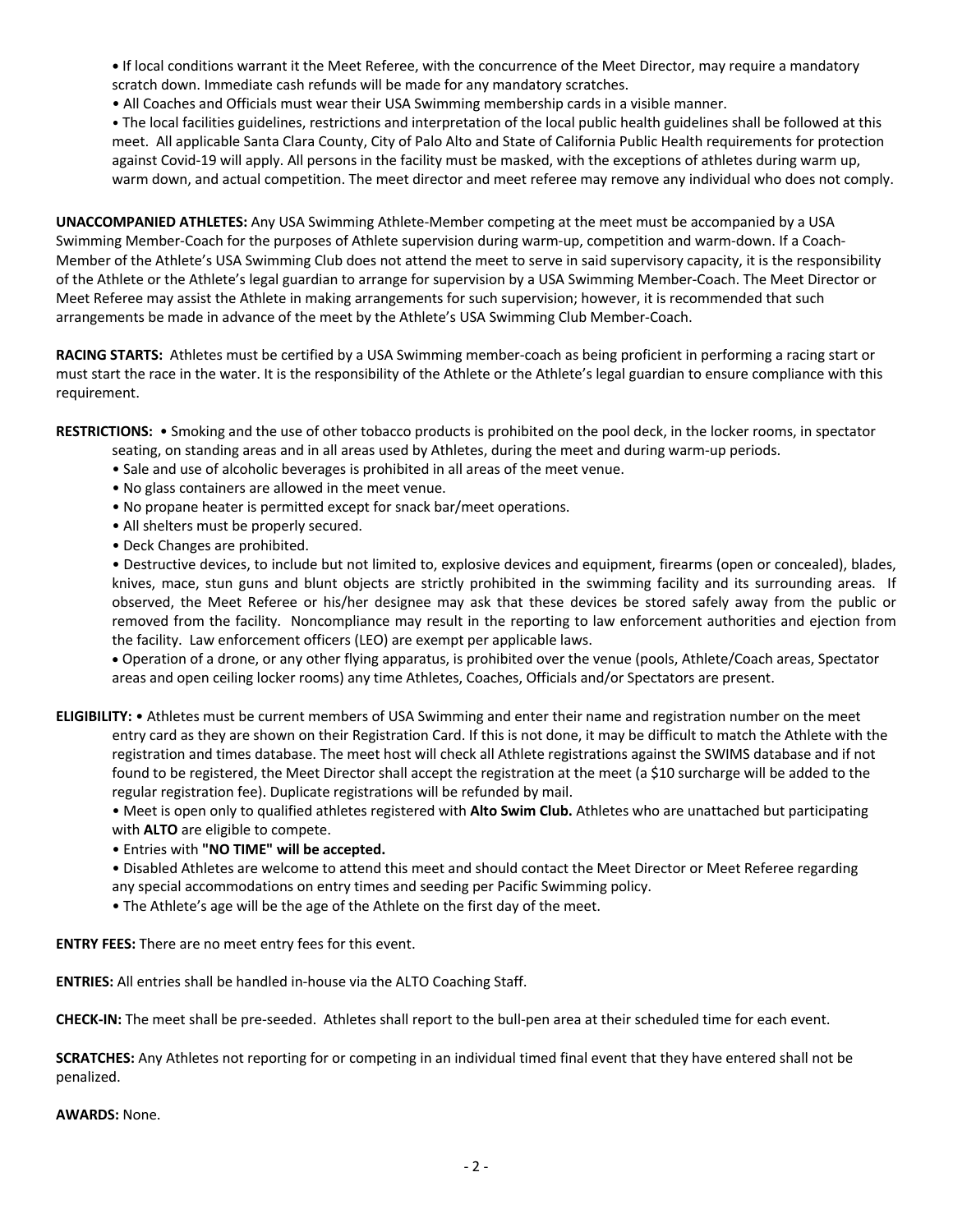**•** If local conditions warrant it the Meet Referee, with the concurrence of the Meet Director, may require a mandatory scratch down. Immediate cash refunds will be made for any mandatory scratches.

• All Coaches and Officials must wear their USA Swimming membership cards in a visible manner.

• The local facilities guidelines, restrictions and interpretation of the local public health guidelines shall be followed at this meet. All applicable Santa Clara County, City of Palo Alto and State of California Public Health requirements for protection against Covid-19 will apply. All persons in the facility must be masked, with the exceptions of athletes during warm up, warm down, and actual competition. The meet director and meet referee may remove any individual who does not comply.

**UNACCOMPANIED ATHLETES:** Any USA Swimming Athlete-Member competing at the meet must be accompanied by a USA Swimming Member-Coach for the purposes of Athlete supervision during warm-up, competition and warm-down. If a Coach-Member of the Athlete's USA Swimming Club does not attend the meet to serve in said supervisory capacity, it is the responsibility of the Athlete or the Athlete's legal guardian to arrange for supervision by a USA Swimming Member-Coach. The Meet Director or Meet Referee may assist the Athlete in making arrangements for such supervision; however, it is recommended that such arrangements be made in advance of the meet by the Athlete's USA Swimming Club Member-Coach.

**RACING STARTS:** Athletes must be certified by a USA Swimming member-coach as being proficient in performing a racing start or must start the race in the water. It is the responsibility of the Athlete or the Athlete's legal guardian to ensure compliance with this requirement.

**RESTRICTIONS:** • Smoking and the use of other tobacco products is prohibited on the pool deck, in the locker rooms, in spectator

- seating, on standing areas and in all areas used by Athletes, during the meet and during warm-up periods.
- Sale and use of alcoholic beverages is prohibited in all areas of the meet venue.
- No glass containers are allowed in the meet venue.
- No propane heater is permitted except for snack bar/meet operations.
- All shelters must be properly secured.
- Deck Changes are prohibited.

• Destructive devices, to include but not limited to, explosive devices and equipment, firearms (open or concealed), blades, knives, mace, stun guns and blunt objects are strictly prohibited in the swimming facility and its surrounding areas. If observed, the Meet Referee or his/her designee may ask that these devices be stored safely away from the public or removed from the facility. Noncompliance may result in the reporting to law enforcement authorities and ejection from the facility. Law enforcement officers (LEO) are exempt per applicable laws.

• Operation of a drone, or any other flying apparatus, is prohibited over the venue (pools, Athlete/Coach areas, Spectator areas and open ceiling locker rooms) any time Athletes, Coaches, Officials and/or Spectators are present.

**ELIGIBILITY:** • Athletes must be current members of USA Swimming and enter their name and registration number on the meet entry card as they are shown on their Registration Card. If this is not done, it may be difficult to match the Athlete with the registration and times database. The meet host will check all Athlete registrations against the SWIMS database and if not found to be registered, the Meet Director shall accept the registration at the meet (a \$10 surcharge will be added to the regular registration fee). Duplicate registrations will be refunded by mail.

• Meet is open only to qualified athletes registered with **Alto Swim Club.** Athletes who are unattached but participating with **ALTO** are eligible to compete.

• Entries with **"NO TIME" will be accepted.** 

• Disabled Athletes are welcome to attend this meet and should contact the Meet Director or Meet Referee regarding any special accommodations on entry times and seeding per Pacific Swimming policy.

• The Athlete's age will be the age of the Athlete on the first day of the meet.

**ENTRY FEES:** There are no meet entry fees for this event.

**ENTRIES:** All entries shall be handled in-house via the ALTO Coaching Staff.

**CHECK-IN:** The meet shall be pre-seeded. Athletes shall report to the bull-pen area at their scheduled time for each event.

**SCRATCHES:** Any Athletes not reporting for or competing in an individual timed final event that they have entered shall not be penalized.

**AWARDS:** None.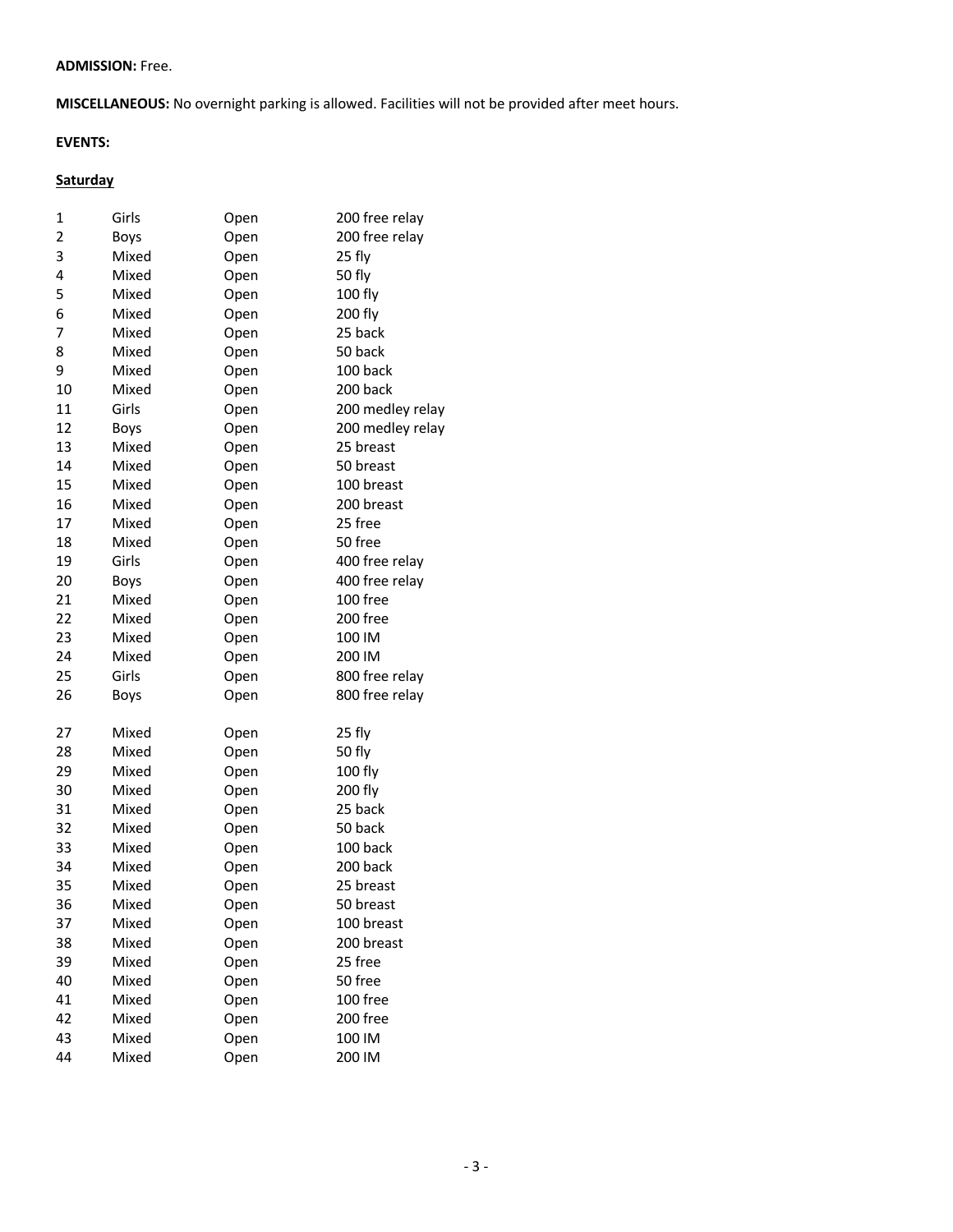## **ADMISSION:** Free.

**MISCELLANEOUS:** No overnight parking is allowed. Facilities will not be provided after meet hours.

## **EVENTS:**

## **Saturday**

| 1  | Girls | Open | 200 free relay   |
|----|-------|------|------------------|
| 2  | Boys  | Open | 200 free relay   |
| 3  | Mixed | Open | 25 fly           |
| 4  | Mixed | Open | 50 fly           |
| 5  | Mixed | Open | 100 fly          |
| 6  | Mixed | Open | 200 fly          |
| 7  | Mixed | Open | 25 back          |
| 8  | Mixed | Open | 50 back          |
| 9  | Mixed | Open | 100 back         |
| 10 | Mixed | Open | 200 back         |
| 11 | Girls | Open | 200 medley relay |
| 12 | Boys  | Open | 200 medley relay |
| 13 | Mixed | Open | 25 breast        |
| 14 | Mixed | Open | 50 breast        |
| 15 | Mixed | Open | 100 breast       |
| 16 | Mixed | Open | 200 breast       |
| 17 | Mixed | Open | 25 free          |
| 18 | Mixed | Open | 50 free          |
| 19 | Girls | Open | 400 free relay   |
| 20 | Boys  | Open | 400 free relay   |
| 21 | Mixed | Open | 100 free         |
| 22 | Mixed | Open | 200 free         |
| 23 | Mixed | Open | 100 IM           |
| 24 | Mixed | Open | 200 IM           |
| 25 | Girls | Open | 800 free relay   |
| 26 | Boys  | Open | 800 free relay   |
|    |       |      |                  |
| 27 | Mixed | Open | 25 fly           |
| 28 | Mixed | Open | 50 fly           |
| 29 | Mixed | Open | 100 fly          |
| 30 | Mixed | Open | 200 fly          |
| 31 | Mixed | Open | 25 back          |
| 32 | Mixed | Open | 50 back          |
| 33 | Mixed | Open | 100 back         |
| 34 | Mixed | Open | 200 back         |
| 35 | Mixed | Open | 25 breast        |
| 36 | Mixed | Open | 50 breast        |
| 37 | Mixed | Open | 100 breast       |
| 38 | Mixed | Open | 200 breast       |
| 39 | Mixed | Open | 25 free          |
| 40 | Mixed | Open | 50 free          |
| 41 | Mixed | Open | 100 free         |
| 42 | Mixed | Open | 200 free         |
| 43 | Mixed | Open | 100 IM           |
| 44 | Mixed | Open | 200 IM           |
|    |       |      |                  |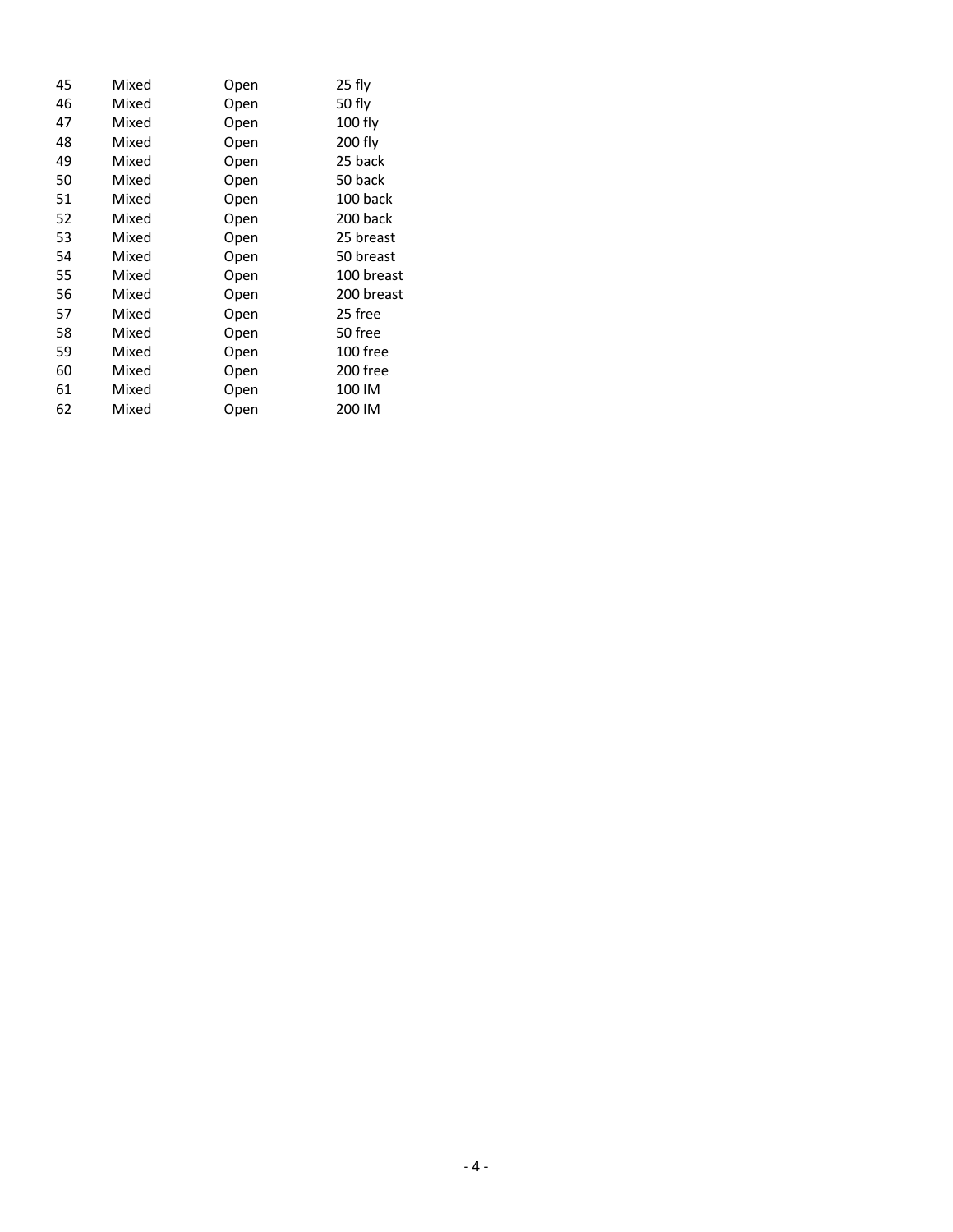| Mixed | Open | 25 fly     |
|-------|------|------------|
| Mixed | Open | 50 fly     |
| Mixed | Open | 100 fly    |
| Mixed | Open | 200 fly    |
| Mixed | Open | 25 back    |
| Mixed | Open | 50 back    |
| Mixed | Open | 100 back   |
| Mixed | Open | 200 back   |
| Mixed | Open | 25 breast  |
| Mixed | Open | 50 breast  |
| Mixed | Open | 100 breast |
| Mixed | Open | 200 breast |
| Mixed | Open | 25 free    |
| Mixed | Open | 50 free    |
| Mixed | Open | 100 free   |
| Mixed | Open | 200 free   |
| Mixed | Open | 100 IM     |
| Mixed | Open | 200 IM     |
|       |      |            |